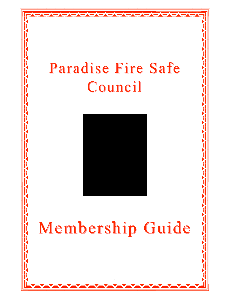

 $\rightarrow$ 



# Membership Guide

1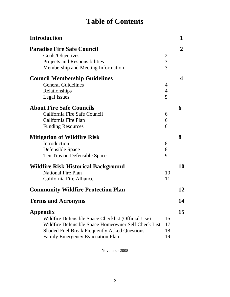# **Table of Contents**

| <b>Introduction</b>                                                                                                                                                                                                            |                                                    | 1              |
|--------------------------------------------------------------------------------------------------------------------------------------------------------------------------------------------------------------------------------|----------------------------------------------------|----------------|
| <b>Paradise Fire Safe Council</b><br>Goals/Objectives<br>Projects and Responsibilities<br>Membership and Meeting Information                                                                                                   | $\overline{2}$<br>$\overline{3}$<br>$\overline{3}$ | $\overline{2}$ |
| <b>Council Membership Guidelines</b><br><b>General Guidelines</b><br>Relationships<br><b>Legal Issues</b>                                                                                                                      | $\overline{4}$<br>$\overline{4}$<br>5              | 4              |
| <b>About Fire Safe Councils</b><br>California Fire Safe Council<br>California Fire Plan<br><b>Funding Resources</b>                                                                                                            | 6<br>6<br>6                                        | 6              |
| <b>Mitigation of Wildfire Risk</b><br>Introduction<br>Defensible Space<br>Ten Tips on Defensible Space                                                                                                                         | 8<br>8<br>9                                        | 8              |
| <b>Wildfire Risk Historical Background</b><br><b>National Fire Plan</b><br>California Fire Alliance                                                                                                                            | 10<br>11                                           | 10             |
| <b>Community Wildfire Protection Plan</b>                                                                                                                                                                                      |                                                    | 12             |
| <b>Terms and Acronyms</b>                                                                                                                                                                                                      |                                                    | 14             |
| <b>Appendix</b><br>Wildfire Defensible Space Checklist (Official Use)<br>Wildfire Defensible Space Homeowner Self Check List<br><b>Shaded Fuel Break Frequently Asked Questions</b><br><b>Family Emergency Evacuation Plan</b> | 16<br>17<br>18<br>19                               | 15             |

November 2008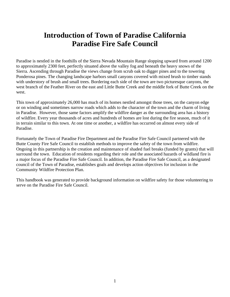# **Introduction of Town of Paradise California Paradise Fire Safe Council**

Paradise is nestled in the foothills of the Sierra Nevada Mountain Range slopping upward from around 1200 to approximately 2300 feet, perfectly situated above the valley fog and beneath the heavy snows of the Sierra. Ascending through Paradise the views change from scrub oak to digger pines and to the towering Ponderosa pines. The changing landscape harbors small canyons covered with mixed brush to timber stands with understory of brush and small trees. Bordering each side of the town are two picturesque canyons, the west branch of the Feather River on the east and Little Butte Creek and the middle fork of Butte Creek on the west.

This town of approximately 26,000 has much of its homes nestled amongst those trees, on the canyon edge or on winding and sometimes narrow roads which adds to the character of the town and the charm of living in Paradise. However, those same factors amplify the wildfire danger as the surrounding area has a history of wildfire. Every year thousands of acres and hundreds of homes are lost during the fire season, much of it in terrain similar to this town. At one time or another, a wildfire has occurred on almost every side of Paradise.

Fortunately the Town of Paradise Fire Department and the Paradise Fire Safe Council partnered with the Butte County Fire Safe Council to establish methods to improve the safety of the town from wildfire. Ongoing in this partnership is the creation and maintenance of shaded fuel breaks (funded by grants) that will surround the town. Education of residents regarding their role and the associated hazards of wildland fire is a major focus of the Paradise Fire Safe Council. In addition, the Paradise Fire Safe Council, as a designated council of the Town of Paradise, establishes goals and develops action objectives for inclusion in the Community Wildfire Protection Plan.

This handbook was generated to provide background information on wildfire safety for those volunteering to serve on the Paradise Fire Safe Council.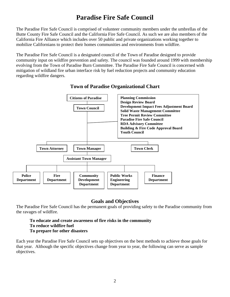# **Paradise Fire Safe Council**

The Paradise Fire Safe Council is comprised of volunteer community members under the umbrellas of the Butte County Fire Safe Council and the California Fire Safe Council. As such we are also members of the California Fire Alliance which includes over 50 public and private organizations working together to mobilize Californians to protect their homes communities and environments from wildfire.

The Paradise Fire Safe Council is a designated council of the Town of Paradise designed to provide community input on wildfire prevention and safety. The council was founded around 1999 with membership evolving from the Town of Paradise Burn Committee. The Paradise Fire Safe Council is concerned with mitigation of wildland fire urban interface risk by fuel reduction projects and community education regarding wildfire dangers.



### **Town of Paradise Organizational Chart**

### **Goals and Objectives**

The Paradise Fire Safe Council has the permanent goals of providing safety to the Paradise community from the ravages of wildfire.

### **To educate and create awareness of fire risks in the community To reduce wildfire fuel To prepare for other disasters**

Each year the Paradise Fire Safe Council sets up objectives on the best methods to achieve those goals for that year. Although the specific objectives change from year to year, the following can serve as sample objectives.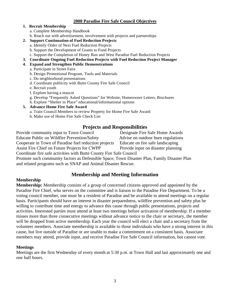### **2008 Paradise Fire Safe Council Objectives**

### **1. Recruit Membership**

- a. Complete Membership Handbook
- b. Reach out with advertisement, involvement with projects and partnerships

### **2. Support Continuation of Fuel Reduction Projects**

- a. Identify Order of Next Fuel Reduction Projects
- b. Support the Development of Grants to Fund Projects
- c. Support the Completion of Honey Run and West Paradise Fuel Reduction Projects
- **3. Coordinate Ongoing Fuel Reduction Projects with Fuel Reduction Project Manager**

### **4. Expand and Strengthen Public Demonstrations**

- a. Participate in Street Fairs
- b. Design Promotional Program, Tools and Materials
- c. Do neighborhood presentations
- d. Coordinate publicity with Butte County Fire Safe Council
- e. Recruit youth
- f. Explore having a mascot
- g. Develop "Frequently Asked Questions" for Website, Homeowner Letters, Brochures
- h. Explore "Shelter in Place" educational/informational options

### **5. Advance Home Fire Safe Award**

- a. Train Council Members to review Property for Home Fire Safe Award
- b. Make use of Home Fire Safe Check List

### **Projects and Responsibilities**

Provide community input to Town Council Designate Fire Safe Home Awards Educate Public on Wildfire Prevention/Safety Advise on outdoor burn regulations

Cooperate in Town of Paradise fuel reduction projects Educate on fire safe landscaping Assist Fire Chief on Future Projects for CWPP Provide input on disaster planning

Coordinate fire safe activities with Butte County Fire Safe Council

Promote such community factors as Defensible Space, Town Disaster Plan, Family Disaster Plan and related programs such as SNAP and Animal Disaster Rescue.

### **Membership and Meeting Information**

### **Membership**

**Membership:** Membership consists of a group of concerned citizens approved and appointed by the Paradise Fire Chief, who serves on the committee and is liaison to the Paradise Fire Department. To be a voting council member, one must be a resident of Paradise and be available to attend meetings on a regular basis. Participants should have an interest in disaster preparedness, wildfire prevention and safety plus be willing to contribute time and energy to advance this cause through public presentations, projects and activities. Interested parties must attend at least two meetings before activation of membership. If a member misses more than three consecutive meetings without advance notice to the chair or secretary, the member will be dropped from active membership. Each year the council will elect a chair and a secretary from the volunteer members. Associate membership is available to those individuals who have a strong interest in this cause, but live outside of Paradise or are unable to make a commitment on a consistent basis. Associate members may attend, provide input, and receive Paradise Fire Safe Council information, but cannot vote.

### **Meetings**

Meetings are the first Wednesday of every month at 5:30 p.m. at Town Hall and last approximately one and one half hours.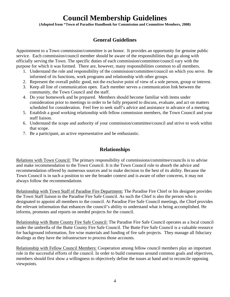# **Council Membership Guidelines**

**(Adopted from "Town of Paradise Handbook for Commission and Committee Members, 2008)** 

# **General Guidelines**

Appointment to a Town commission/committee is an honor. It provides an opportunity for genuine public service. Each commission/council member should be aware of the responsibilities that go along with officially serving the Town. The specific duties of each commission/committee/council vary with the purpose for which it was formed. There are, however, many responsibilities common to all members.

- 1. Understand the role and responsibility of the commission/committee/council on which you serve. Be informed of its functions, work programs and relationship with other groups.
- 2. Represent the overall public good, not the exclusive point of view of a sole person, group or interest.
- 3. Keep all line of communication open. Each member serves a communication link between the community, the Town Council and the staff.
- 4. Do your homework and be prepared. Members should become familiar with items under consideration prior to meetings in order to be fully prepared to discuss, evaluate, and act on matters scheduled for consideration. Feel free to seek staff's advice and assistance in advance of a meeting.
- 5. Establish a good working relationship with fellow commission members, the Town Council and your staff liaison.
- 6. Understand the scope and authority of your commission/committee/council and strive to work within that scope.
- 7. Be a participant, an active representative and be enthusiastic.

### **Relationships**

Relations with Town Council: The primary responsibility of commissions/committee/councils is to advise and make recommendation to the Town Council. It is the Town Council role to absorb the advice and recommendation offered by numerous sources and to make decision to the best of its ability. Because the Town Council is in such a position to see the broader context and is aware of other concerns, it may not always follow the recommendations

Relationship with Town Staff of Paradise Fire Department: The Paradise Fire Chief or his designee provides the Town Staff liaison to the Paradise Fire Safe Council. As such the Chief is also the person who is designated to appoint all members to the council. At Paradise Fire Safe Council meetings, the Chief provides the relevant information that enhances the council's ability to understand what is being accomplished. He informs, promotes and reports on needed projects for the council.

Relationship with Butte County Fire Safe Council: The Paradise Fire Safe Council operates as a local council under the umbrella of the Butte County Fire Safe Council. The Butte Fire Safe Council is a valuable resource for background information, fire wise materials and funding of fire safe projects. They manage all fiduciary dealings as they have the infrastructure to process those accounts.

Relationship with Fellow Council Members: Cooperation among fellow council members play an important role in the successful efforts of the council. In order to build consensus around common goals and objectives, members should first show a willingness to objectively define the issues at hand and to reconcile opposing viewpoints.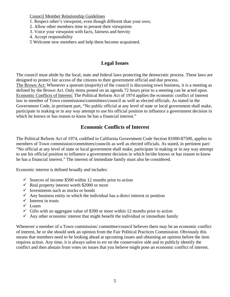Council Member Relationship Guidelines

- 1. Respect other's viewpoint, even though different than your own;
- 2. Allow other members time to present their viewpoints
- 3. Voice your viewpoint with facts, fairness and brevity
- 4. Accept responsibility
- 5 Welcome new members and help them become acquainted.

### **Legal Issues**

The council must abide by the local, state and federal laws protecting the democratic process. These laws are designed to protect fair access of the citizens to their government official and due process. The Brown Act: Whenever a quorum (majority) of the council is discussing town business, it is a meeting as defined by the Brown Act. Only items posted on an agenda 72 hours prior to a meeting can be acted upon. Economic Conflicts of Interest: The Political Reform Act of 1974 applies the economic conflict of interest law to member of Town commissions/committees/council as well as elected officials. As stated in the Government Code, in pertinent part, "No public official at any level of state or local government shall make, participate in making or in any way attempt to use his official position to influence a government decision in which he knows or has reason to know he has a financial interest."

### **Economic Conflicts of Interest**

The Political Reform Act of 1974, codified in California Government Code Section 81000-87500, applies to members of Town commission/committees/councils as well as elected officials. As stated, in pertinent part: "No official at any level of state or local government shall make, participate in making or in any way attempt to use his official position to influence a government decision in which he/she knows or has reason to know he has a financial interest." The interest of immediate family must also be considered.

Economic interest is defined broadly and includes:

- $\checkmark$  Sources of income \$500 within 12 months prior to action
- $\checkmark$  Real property interest worth \$2000 or more
- $\checkmark$  Investments such as stocks or bonds
- $\checkmark$  Any business entity in which the individual has a direct interest or position
- $\checkmark$  Interest in trusts
- $\checkmark$  Loans
- $\checkmark$  Gifts with an aggregate value of \$390 or more within 12 months prior to action
- $\checkmark$  Any other economic interest that might benefit the individual or immediate family

Whenever a member of a Town commission/ committee/council believes there may be an economic conflict of interest, he or she should seek an opinion from the Fair Political Practices Commission. Obviously this means that members need to be looking ahead at upcoming issues and obtaining an opinion before the item requires action. Any time, it is always safest to err on the conservative side and to publicly identify the conflict and then abstain from votes on issues that you believe might pose an economic conflict of interest.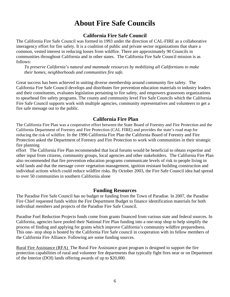# **About Fire Safe Councils**

### **California Fire Safe Council**

The California Fire Safe Council was formed in 1993 under the direction of CAL-FIRE as a collaborative interagency effort for fire safety. It is a coalition of public and private sector organizations that share a common, vested interest in reducing losses from wildfire. There are approximately 90 Councils in communities throughout California and in other states. The California Fire Safe Council mission is as follows:

*To preserve California's natural and manmade resources by mobilizing all Californians to make their homes, neighborhoods and communities fire safe.* 

Great success has been achieved in uniting diverse membership around community fire safety. The California Fire Safe Council develops and distributes fire prevention education materials to industry leaders and their constituents, evaluates legislation pertaining to fire safety, and empowers grassroots organizations to spearhead fire safety programs. The county and community level Fire Safe Councils which the California Fire Safe Council supports work with multiple agencies, community representatives and volunteers to get a fire safe message out to the public.

### **California Fire Plan**

The California Fire Plan was a cooperative effort between the State Board of Forestry and Fire Protection and the California Department of Forestry and Fire Protection (CAL FIRE) and provides the state's road map for reducing the risk of wildfire. In the 1996 California Fire Plan the California Board of Forestry and Fire Protection asked the Department of Forestry and Fire Protection to work with communities in their strategic fire planning

effort The California Fire Plan recommended that local forums would be beneficial to obtain expertise and other input from citizens, community groups, local agencies and other stakeholders. The California Fire Plan also recommended that fire prevention education programs communicate levels of risk to people living in wild lands and that the message cover vegetation management, ignition resistant building construction and individual actions which could reduce wildfire risks. By October 2003, the Fire Safe Council idea had spread to over 50 communities in southern California alone

### **Funding Resources**

The Paradise Fire Safe Council has no budget or funding from the Town of Paradise. In 2007, the Paradise Fire Chief requested funds within the Fire Department Budget to finance identification materials for both individual members and projects of the Paradise Fire Safe Council.

Paradise Fuel Reduction Projects funds come from grants financed from various state and federal sources. In California, agencies have pooled their National Fire Plan funding into a one-stop shop to help simplify the process of finding and applying for grants which improve California's community wildfire preparedness. This one- stop shop is hosted by the California Fire Safe council in cooperation with its fellow members of the California Fire Alliance. Following are some funding sources.

Rural Fire Assistance (RFA) The Rural Fire Assistance grant program is designed to support the fire protection capabilities of rural and volunteer fire departments that typically fight fires near or on Department of the Interior (DOI) lands offering awards of up to \$20,000.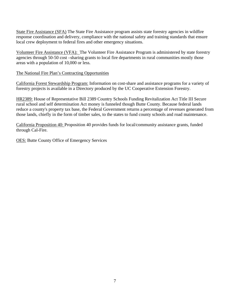State Fire Assistance (SFA) The State Fire Assistance program assists state forestry agencies in wildfire response coordination and delivery, compliance with the national safety and training standards that ensure local crew deployment to federal fires and other emergency situations.

Volunteer Fire Assistance (VFA): The Volunteer Fire Assistance Program is administered by state forestry agencies through 50-50 cost –sharing grants to local fire departments in rural communities mostly those areas with a population of 10,000 or less.

The National Fire Plan's Contracting Opportunities

California Forest Stewardship Program: Information on cost-share and assistance programs for a variety of forestry projects is available in a Directory produced by the UC Cooperative Extension Forestry.

HR2389: House of Representative Bill 2389 Country Schools Funding Revitalization Act Title III Secure rural school and self determination Act money is funneled though Butte County. Because federal lands reduce a county's property tax base, the Federal Government returns a percentage of revenues generated from those lands, chiefly in the form of timber sales, to the states to fund county schools and road maintenance.

California Proposition 40: Proposition 40 provides funds for local/community assistance grants, funded through Cal-Fire.

OES: Butte County Office of Emergency Services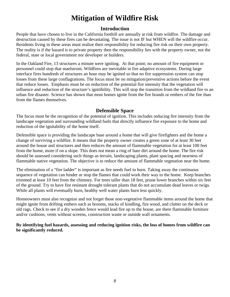# **Mitigation of Wildfire Risk**

### **Introduction**

People that have chosen to live in the California foothill are annually at risk from wildfire. The damage and destruction caused by these fires can be devastating. The issue is not IF but WHEN will the wildfire occur. Residents living in these areas must realize their responsibility for reducing fire risk on their own property. The reality is if the hazard is to private property then the responsibility lies with the property owner, not the federal, state or local government nor developer or builders.

In the Oakland Fire, 13 structures a minute were igniting. At that point; no amount of fire equipment or personnel could stop that maelstrom. Wildfires are inevitable in fire adaptive ecosystems. During large interface fires hundreds of structures an hour may be ignited so that no fire suppression system can stop losses from these large conflagrations. The focus must be on mitigation/preventive actions before the event that reduce losses. Emphasis must be on reduction of the potential fire intensity that the vegetation will influence and reduction of the structure's ignitibility. This will stop the transition from the wildland fire to an urban fire disaster. Science has shown that most homes ignite from the fire brands or embers of the fire than from the flames themselves.

### **Defensible Space**

The focus must be the recognition of the potential of ignition. This includes reducing fire intensity from the landscape vegetation and surrounding wildland fuels that directly influence fire exposure to the home and reduction of the ignitability of the home itself.

Defensible space is providing the landscape base around a home that will give firefighters and the home a change of surviving a wildfire. It means that the property owner creates a green zone of at least 30 feet around the house and structures and then reduces the amount of flammable vegetation for at least 100 feet from the home, more if on a slope. This does not mean a ring of bare dirt around the home. The fire risk should be assessed considering such things as terrain, landscaping plants, plant spacing and nearness of flammable native vegetation. The objective is to reduce the amount of flammable vegetation near the home.

The elimination of a "fire ladder" is important as fire needs fuel to burn. Taking away the continuous sequence of vegetation can hinder or stop the flames that could work their way to the home. Keep branches trimmed at least 10 feet from the chimney. For trees taller than 18 feet, prune lower branches within six feet of the ground. Try to have fire resistant drought tolerant plants that do not accumulate dead leaves or twigs. While all plants will eventually burn, healthy well water plants burn less quickly.

Homeowners must also recognize and not forget those non-vegetative flammable items around the home that might ignite from drifting embers such as brooms, stacks of kindling, fire wood, and clutter on the deck or old rags. Check to see if a dry wooden fence would lead fire up to the house, are there flammable furniture and/or cushions, vents without screens, construction waste or outside wall ornaments.

**By identifying fuel hazards, assessing and reducing ignition risks, the loss of homes from wildfire can be significantly reduced.**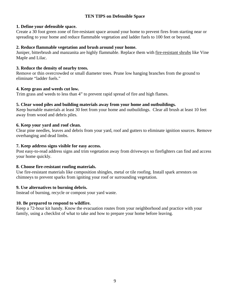### **TEN TIPS on Defensible Space**

### **1. Define your defensible space.**

Create a 30 foot green zone of fire-resistant space around your home to prevent fires from starting near or spreading to your home and reduce flammable vegetation and ladder fuels to 100 feet or beyond.

### **2. Reduce flammable vegetation and brush around your home.**

Juniper, bitterbrush and manzanita are highly flammable. Replace them with fire-resistant shrubs like Vine Maple and Lilac.

### **3. Reduce the density of nearby trees.**

Remove or thin overcrowded or small diameter trees. Prune low hanging branches from the ground to eliminate "ladder fuels."

### **4. Keep grass and weeds cut low.**

Trim grass and weeds to less than 4" to prevent rapid spread of fire and high flames.

### **5. Clear wood piles and building materials away from your home and outbuildings.**

Keep burnable materials at least 30 feet from your home and outbuildings. Clear all brush at least 10 feet away from wood and debris piles.

### **6. Keep your yard and roof clean.**

Clear pine needles, leaves and debris from your yard, roof and gutters to eliminate ignition sources. Remove overhanging and dead limbs.

### **7. Keep address signs visible for easy access.**

Post easy-to-read address signs and trim vegetation away from driveways so firefighters can find and access your home quickly.

### **8. Choose fire-resistant roofing materials.**

Use fire-resistant materials like composition shingles, metal or tile roofing. Install spark arrestors on chimneys to prevent sparks from igniting your roof or surrounding vegetation.

### **9. Use alternatives to burning debris.**

Instead of burning, recycle or compost your yard waste.

### **10. Be prepared to respond to wildfire.**

Keep a 72-hour kit handy. Know the evacuation routes from your neighborhood and practice with your family, using a checklist of what to take and how to prepare your home before leaving.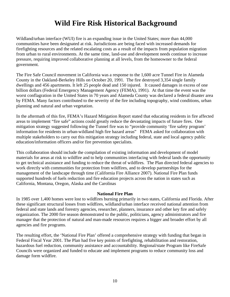# **Wild Fire Risk Historical Background**

Wildland/urban interface (WUI) fire is an expanding issue in the United States; more than 44,000 communities have been designated at risk. Jurisdictions are being faced with increased demands for firefighting resources and the related escalating costs as a result of the impacts from population migration from urban to rural environments. At the same time, land-use and development needs continue to increase pressure, requiring improved collaborative planning at all levels, from the homeowner to the federal government.

The Fire Safe Council movement in California was a response to the 1,600 acre Tunnel Fire in Alameda County in the Oakland-Berkeley Hills on October 20, 1991. The fire destroyed 3,354 single family dwellings and 456 apartments. It left 25 people dead and 150 injured. It caused damages in excess of one billion dollars (Federal Emergency Management Agency (FEMA), 1991). At that time the event was the worst conflagration in the United States in 70 years and Alameda County was declared a federal disaster area by FEMA. Many factors contributed to the severity of the fire including topography, wind conditions, urban planning and natural and urban vegetation.

In the aftermath of this fire, FEMA's Hazard Mitigation Report stated that educating residents in fire affected areas to implement "fire safe" actions could greatly reduce the devastating impacts of future fires. One mitigation strategy suggested following the Tunnel fire was to "provide community 'fire safety program' information for residents in urban-wildland high fire hazard areas" FEMA asked for collaboration with multiple stakeholders to carry out this mitigation strategy including federal, state and local agency public education/information officers and/or fire prevention specialists.

This collaboration should include the compilation of existing information and development of model materials for areas at risk to wildfire and to help communities interfacing with federal lands the opportunity to get technical assistance and funding to reduce the threat of wildfires. The Plan directed federal agencies to work directly with communities for protection from wildfires, and to develop partnerships for the management of the landscape through time (California Fire Alliance 2007). National Fire Plan funds supported hundreds of fuels reduction and fire education projects across the nation in states such as California, Montana, Oregon, Alaska and the Carolinas

### **National Fire Plan**

In 1985 over 1,400 homes were lost to wildfires burning primarily in two states, California and Florida. After these significant structural losses from wildfires, wildland/urban interface received national attention from federal and state lands and forestry agencies, researcher, planners, insurance and other key fire and safely organization. The 2000 fire season demonstrated to the public, politicians, agency administrators and fire manager that the protection of natural and man-made resources requires a bigger and broader effort by all agencies and fire programs.

The resulting effort, the 'National Fire Plan' offered a comprehensive strategy with funding that began in Federal Fiscal Year 2001. The Plan had five key points of firefighting, rehabilitation and restoration, hazardous fuel reduction, community assistance and accountability. Regional/state Program like FireSafe Councils were organized and funded to educate and implement programs to reduce community loss and damage form wildfire.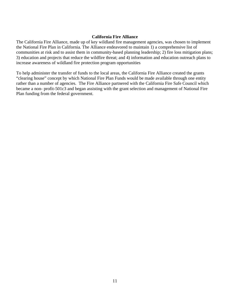### **California Fire Alliance**

The California Fire Alliance, made up of key wildland fire management agencies, was chosen to implement the National Fire Plan in California. The Alliance endeavored to maintain 1) a comprehensive list of communities at risk and to assist them in community-based planning leadership; 2) fire loss mitigation plans; 3) education and projects that reduce the wildfire threat; and 4) information and education outreach plans to increase awareness of wildland fire protection program opportunities

To help administer the transfer of funds to the local areas, the California Fire Alliance created the grants "clearing house" concept by which National Fire Plan Funds would be made available through one entity rather than a number of agencies. The Fire Alliance partnered with the California Fire Safe Council which became a non- profit-501c3 and began assisting with the grant selection and management of National Fire Plan funding from the federal government.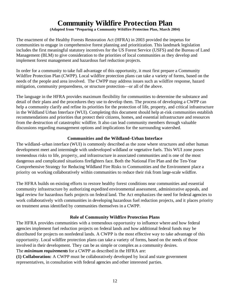# **Community Wildfire Protection Plan**

**(Adapted from "Preparing a Community Wildfire Protection Plan, March 2004)** 

The enactment of the Healthy Forests Restoration Act (HFRA) in 2003 provided the impetus for communities to engage in comprehensive forest planning and prioritization. This landmark legislation includes the first meaningful statutory incentives for the US Forest Service (USFS) and the Bureau of Land Management (BLM) to give consideration to the priorities of local communities as they develop and implement forest management and hazardous fuel reduction projects.

In order for a community to take full advantage of this opportunity, it must first prepare a Community Wildfire Protection Plan (CWPP). Local wildfire protection plans can take a variety of forms, based on the needs of the people and area involved. The CWPP may address issues such as wildfire response, hazard mitigation, community preparedness, or structure protection—or all of the above.

The language in the HFRA provides maximum flexibility for communities to determine the substance and detail of their plans and the procedures they use to develop them. The process of developing a CWPP can help a community clarify and refine its priorities for the protection of life, property, and critical infrastructure in the Wildland Urban Interface (WUI). Completing this document should help at-risk communities establish recommendations and priorities that protect their citizens, homes, and essential infrastructure and resources from the destruction of catastrophic wildfire. It also can lead community members through valuable discussions regarding management options and implications for the surrounding watershed.

### **Communities and the Wildland–Urban Interface**

The wildland–urban interface (WUI) is commonly described as the zone where structures and other human development meet and intermingle with undeveloped wildland or vegetative fuels. This WUI zone poses tremendous risks to life, property, and infrastructure in associated communities and is one of the most dangerous and complicated situations firefighters face. Both the National Fire Plan and the Ten-Year Comprehensive Strategy for Reducing Wildland Fire Risks to Communities and the Environment place a priority on working collaboratively within communities to reduce their risk from large-scale wildfire.

The HFRA builds on existing efforts to restore healthy forest conditions near communities and essential community infrastructure by authorizing expedited environmental assessment, administrative appeals, and legal review for hazardous fuels projects on federal land. The Act emphasizes the need for federal agencies to work collaboratively with communities in developing hazardous fuel reduction projects, and it places priority on treatment areas identified by communities themselves in a CWPP.

### **Role of Community Wildfire Protection Plans**

The HFRA provides communities with a tremendous opportunity to influence where and how federal agencies implement fuel reduction projects on federal lands and how additional federal funds may be distributed for projects on nonfederal lands. A CWPP is the most effective way to take advantage of this opportunity. Local wildfire protection plans can take a variety of forms, based on the needs of those involved in their development. They can be as simple or complex as a community desires. The *minimum requirements* for a CWPP as described in the HFRA are:

**(1) Collaboration:** A CWPP must be collaboratively developed by local and state government representatives, in consultation with federal agencies and other interested parties.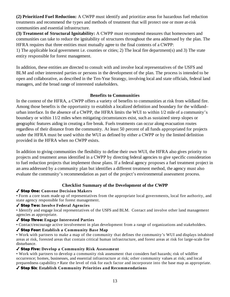**(2) Prioritized Fuel Reduction:** A CWPP must identify and prioritize areas for hazardous fuel reduction treatments and recommend the types and methods of treatment that will protect one or more at-risk communities and essential infrastructure.

**(3) Treatment of Structural Ignitability:** A CWPP must recommend measures that homeowners and communities can take to reduce the ignitability of structures throughout the area addressed by the plan. The HFRA requires that three entities must mutually agree to the final contents of a CWPP:

1) The applicable local government i.e. counties or cities; 2) The local fire department(s) and 3) The state entity responsible for forest management.

In addition, these entities are directed to consult with and involve local representatives of the USFS and BLM and other interested parties or persons in the development of the plan. The process is intended to be open and collaborative, as described in the Ten-Year Strategy, involving local and state officials, federal land managers, and the broad range of interested stakeholders.

### **Benefits to Communities**

In the context of the HFRA, a CWPP offers a variety of benefits to communities at risk from wildland fire. Among those benefits is the opportunity to establish a localized definition and boundary for the wildland– urban interface. In the absence of a CWPP, the HFRA limits the WUI to within 1/2 mile of a community's boundary or within 11/2 miles when mitigating circumstances exist, such as sustained steep slopes or geographic features aiding in creating a fire break. Fuels treatments can occur along evacuation routes regardless of their distance from the community. At least 50 percent of all funds appropriated for projects under the HFRA must be used within the WUI as defined by either a CWPP or by the limited definition provided in the HFRA when no CWPP exists.

In addition to giving communities the flexibility to define their own WUI, the HFRA also gives priority to projects and treatment areas identified in a CWPP by directing federal agencies to give specific consideration to fuel reduction projects that implement those plans. If a federal agency proposes a fuel treatment project in an area addressed by a community plan but identifies a different treatment method, the agency must also evaluate the community's recommendation as part of the project's environmental assessment process.

### **Checklist Summary of the Development of the CWPP**

### Step One: **Convene Decision Makers**

• Form a core team made up of representatives from the appropriate local governments, local fire authority, and state agency responsible for forest management.

### Step Two: **Involve Federal Agencies**

• Identify and engage local representatives of the USFS and BLM. Contact and involve other land management agencies as appropriate.

### Step Three: **Engage Interested Parties**

• Contact/encourage active involvement in plan development from a range of organizations and stakeholders.

### Step Four: **Establish a Community Base Map**

• Work with partners to make a map of the community that defines the community's WUI and displays inhabited areas at risk, forested areas that contain critical human infrastructure, and forest areas at risk for large-scale fire disturbance.

### Step Five: **Develop a Community Risk Assessment**

• Work with partners to develop a community risk assessment that considers fuel hazards; risk of wildfire occurrence; homes, businesses, and essential infrastructure at risk; other community values at risk; and local preparedness capability.• Rate the level of risk for each factor and incorporate into the base map as appropriate.

### Step Six: **Establish Community Priorities and Recommendations**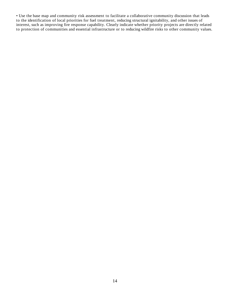• Use the base map and community risk assessment to facilitate a collaborative community discussion that leads to the identification of local priorities for fuel treatment, reducing structural ignitability, and other issues of interest, such as improving fire response capability. Clearly indicate whether priority projects are directly related to protection of communities and essential infrastructure or to reducing wildfire risks to other community values.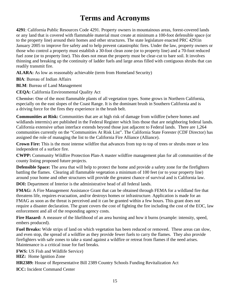# **Terms and Acronyms**

**4291**: California Public Resources Code 4291. Property owners in mountainous areas, forest-covered lands or any land that is covered with flammable material must create at minimum a 100-foot defensible space (or to the property line) around their homes and other structures. The state legislature enacted PRC 4291in January 2005 to improve fire safety and to help prevent catastrophic fires. Under the law, property owners or those who control a property must establish a 30-foot clean zone (or to property line) and a 70-foot reduced fuel zone (or to property line). This does not mean the property must be clear-cut to bare soil. It involves thinning and breaking up the continuity of ladder fuels and large areas filled with contiguous shrubs that can readily transmit fire.

**ALARA:** As low as reasonably achievable (term from Homeland Security)

**BIA**: Bureau of Indian Affairs

**BLM**: Bureau of Land Management

**CEQA:** California Environmental Quality Act

**Chemise: O**ne of the most flammable plants of all vegetation types. Some grows in Northern California, especially on the east slopes of the Coast Range. It is the dominant brush in Southern California and is a driving force for the fires they experience in the brush belt.

**Communities at Risk:** Communities that are at high risk of damage from wildfire (where homes and wildlands intermix) are published in the Federal Register which lists those that are neighboring federal lands. California extensive urban interface extends beyond those just adjacent to Federal lands. There are 1,264 communities currently on the "Communities At Risk List". The California State Forester (CDF Director) has assigned the role of managing the list to the California Fire Alliance (Alliance).

**Crown Fire:** This is the most intense wildfire that advances from top to top of trees or shrubs more or less independent of a surface fire.

**CWPP:** Community Wildfire Protection Plan-A master wildfire management plan for all communities of the county listing proposed future projects.

**Defensible Space:** The area that will help to protect the home and provide a safety zone for the firefighters battling the flames. Clearing all flammable vegetation a minimum of 100 feet (or to your property line) around your home and other structures will provide the greatest chance of survival and is California law.

**DOI:** Department of Interior is the administrative head of all federal lands.

**FMAG:** A Fire Management Assistance Grant that can be obtained through FEMA for a wildland fire that threatens life, requires evacuation, and/or destroys homes or infrastructure. Application is made for an FMAG as soon as the threat is perceived and it can be granted within a few hours. This grant does not require a disaster declaration. The grant covers the cost of fighting the fire including the cost of the EOC, law enforcement and all of the responding agency costs.

**Fire Hazard:** A measure of the likelihood of an area burning and how it burns (example: intensity, speed, embers produced).

**Fuel Breaks:** Wide strips of land on which vegetation has been reduced or removed. These areas can slow, and even stop, the spread of a wildfire as they provide fewer fuels to carry the flames. They also provide firefighters with safe zones to take a stand against a wildfire or retreat from flames if the need arises. Maintenance is a critical issue for fuel breaks.

**FWS:** US Fish and Wildlife Service) **HIZ:** Home Ignition Zone **HR2389:** House of Representative Bill 2389 Country Schools Funding Revitalization Act **ICC:** Incident Command Center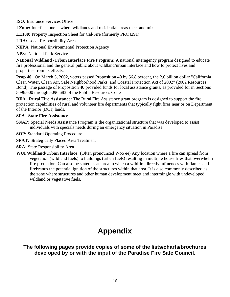**ISO:** Insurance Services Office

**I Zone:** Interface one is where wildlands and residential areas meet and mix.

**LE100:** Property Inspection Sheet for Cal-Fire (formerly PRC4291)

**LRA:** Local Responsibility Area

**NEPA**: National Environmental Protection Agency

**NPS**: National Park Service

**National Wildland /Urban Interface Fire Program:** A national interagency program designed to educate fire professional and the general public about wildland/urban interface and how to protect lives and properties from its effects.

**Prop 40** On March 5, 2002, voters passed Proposition 40 by 56.8 percent, the 2.6 billion dollar "California" Clean Water, Clean Air, Safe Neighborhood Parks, and Coastal Protection Act of 2002" (2002 Resources Bond). The passage of Proposition 40 provided funds for local assistance grants, as provided for in Sections 5096.600 through 5096.683 of the Public Resources Code

**RFA Rural Fire Assistance:** The Rural Fire Assistance grant program is designed to support the fire protection capabilities of rural and volunteer fire departments that typically fight fires near or on Department of the Interior (DOI) lands.

### **SFA State Fire Assistance**

**SNAP:** Special Needs Assistance Program is the organizational structure that was developed to assist individuals with specials needs during an emergency situation in Paradise.

**SOP:** Standard Operating Procedure

**SPAT:** Strategically Placed Area Treatment

- **SRA:** State Responsibility Area
- **WUI Wildland/Urban Interface: (**Often pronounced Woo ee) Any location where a fire can spread from vegetation (wildland fuels) to buildings (urban fuels) resulting in multiple house fires that overwhelm fire protection. Can also be stated as an area in which a wildfire directly influences with flames and firebrands the potential ignition of the structures within that area. It is also commonly described as the zone where structures and other human development meet and intermingle with undeveloped wildland or vegetative fuels.

# **Appendix**

**The following pages provide copies of some of the lists/charts/brochures developed by or with the input of the Paradise Fire Safe Council.**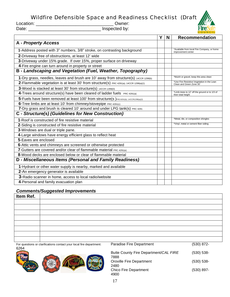# Wildfire Defensible Space and Readiness Checklist (Draft)

Location: \_\_\_\_\_\_\_\_\_\_\_\_\_\_\_\_\_\_\_\_\_\_\_\_\_\_\_\_\_\_\_ Owner:

Date: \_\_\_\_\_\_\_\_\_\_\_\_\_\_\_\_\_\_\_\_\_\_\_\_\_\_\_\_\_ Inspected by:

|                                                                                        | Y | <b>N</b> | <b>Recommendation</b>                                                  |
|----------------------------------------------------------------------------------------|---|----------|------------------------------------------------------------------------|
| <b>A</b> - Property Access                                                             |   |          |                                                                        |
| 1-Address posted with 3" numbers, 3/8" stroke, on contrasting background               |   |          | *Available from local Fire Company, or home<br>improvement center      |
| 2-Driveway free of obstructions, at least 12' wide                                     |   |          |                                                                        |
| 3-Driveway under 15% grade. If over 15%, proper surface on driveway                    |   |          |                                                                        |
| 4-Fire engine can turn around in property or street                                    |   |          |                                                                        |
| B - Landscaping and Vegetation (Fuel, Weather, Topography)                             |   |          |                                                                        |
| 1-Dry grass, needles, leaves and brush are 10' away from structure(s) 14CCR 1299(b)    |   |          | *Mulch or gravel, keep this area clean                                 |
| 2-Flammable vegetation is at least 30' from structure(s) PRC 4291(a); 14CCR 1299(a)(1) |   |          | *Use Fire Resistive Vegetation in the Lean<br>Clean and Green Zone 30' |
| 3-Wood is stacked at least 30' from structure(s) 14CCR 1299(D)                         |   |          |                                                                        |
| 4-Trees around structure(s) have been cleared of ladder fuels PRC 4291(a)              |   |          | *Limb trees to 12' off the ground or to 1/3 of<br>their total height   |
| 5-Fuels have been removed at least 100' from structure(s) PRC4291(b); 14CCR1299(a)(2)  |   |          |                                                                        |
| 6-Tree limbs are at least 10' from chimney/stovepipe PRC 4291(c)                       |   |          |                                                                        |
| 7-Dry grass and brush is cleared 10' around and under LPG tank(s) PRC 4291             |   |          |                                                                        |
| C - Structure(s) (Guidelines for New Construction)                                     |   |          |                                                                        |
| 1-Roof is constructed of fire resistive material                                       |   |          | *Metal, tile, or composition shingles                                  |
| 2-Siding is constructed of fire resistive material                                     |   |          | *Vinyl, metal or cement fiber siding                                   |
| 3-Windows are dual or triple pane.                                                     |   |          |                                                                        |
| 4-Large windows have energy efficient glass to reflect heat                            |   |          |                                                                        |
| 5-Eaves are enclosed                                                                   |   |          |                                                                        |
| 6-Attic vents and chimneys are screened or otherwise protected                         |   |          |                                                                        |
| <b>7</b> -Gutters are covered and/or clear of flammable material PRC 4291(e)           |   |          |                                                                        |
| 8-Wood decks are enclosed below or clear of flammable material                         |   |          |                                                                        |
| D - Miscellaneous Items (Personal and Family Readiness)                                |   |          |                                                                        |
| 1-Hydrant or other water supply is nearby, marked and available                        |   |          |                                                                        |
| 2-An emergency generator is available                                                  |   |          |                                                                        |
| 3-Radio scanner in home, access to local radio/website                                 |   |          |                                                                        |
| 4-Personal and family evacuation plan                                                  |   |          |                                                                        |

### *Comments/Suggested Improvements*

| Item Ref. |  |
|-----------|--|
|           |  |
|           |  |
|           |  |
|           |  |
|           |  |
|           |  |
|           |  |
|           |  |

For questions or clarifications contact your local fire department: Paradise Fire Department (530) 872- 6264



| Butte County Fire Department/CAL FIRE<br>7888 | $(530) 538 -$ |
|-----------------------------------------------|---------------|
| Oroville Fire Department<br>2480              | $(530) 538 -$ |
| Chico Fire Department<br>4900                 | $(530) 897 -$ |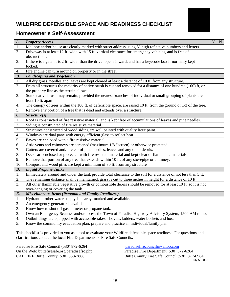# **WILDFIRE DEFENSIBLE SPACE AND READINESS CHECKLIST**



### **Homeowner's Self-Assessment**

| $\boldsymbol{A}$ . | <b>Property Access</b>                                                                                                  | Y <sub>1</sub> | ${\bf N}$ |
|--------------------|-------------------------------------------------------------------------------------------------------------------------|----------------|-----------|
| 1.                 | Mailbox and/or house are clearly marked with street address using 3" high reflective numbers and letters.               |                |           |
| 2.                 | Driveway is at least 12 ft. wide with 15 ft. vertical clearance for emergency vehicles, and is free of<br>obstructions. |                |           |
| 3.                 | If there is a gate, it is 2 ft. wider than the drive, opens inward, and has a key/code box if normally kept             |                |           |
|                    | locked.                                                                                                                 |                |           |
| 4.                 | Fire engine can turn around on property or in the street.                                                               |                |           |
| $\mathbf{B}$ .     | <b>Landscaping and Vegetation</b>                                                                                       |                |           |
| 1.                 | All dry grass, needles and leaves are kept cleared at least a distance of 10 ft. from any structure.                    |                |           |
| 2.                 | From all structures the majority of native brush is cut and removed for a distance of one hundred (100) ft, or          |                |           |
|                    | the property line as the terrain allows.                                                                                |                |           |
| 3.                 | Some native brush may remain, provided the nearest branches of individual or small grouping of plants are at            |                |           |
|                    | least 10 ft. apart.                                                                                                     |                |           |
| 4.                 | The canopy of trees within the 100 ft. of defensible space, are raised 10 ft. from the ground or 1/3 of the tree.       |                |           |
| 5.                 | Remove any portion of a tree that is dead and extends over a structure.                                                 |                |           |
| $\mathcal{C}$ .    | Structure(s)                                                                                                            |                |           |
| 1.                 | Roof is constructed of fire resistive material, and is kept free of accumulations of leaves and pine needles.           |                |           |
| 2.                 | Siding is constructed of fire resistive material.                                                                       |                |           |
| 3.                 | Structures constructed of wood siding are well painted with quality latex paint.                                        |                |           |
| 4.                 | Windows are dual pane with energy efficient glass to reflect heat.                                                      |                |           |
| 5.                 | Eaves are enclosed with a fire resistive material.                                                                      |                |           |
| 6.                 | Attic vents and chimneys are screened (maximum 1/8 "screen) or otherwise protected.                                     |                |           |
| 7.                 | Gutters are covered and/or clear of pine needles, leaves and any other debris.                                          |                |           |
| 8.                 | Decks are enclosed or protected with fire resistant material and kept clear of flammable materials.                     |                |           |
| 9.                 | Remove that portion of any tree that extends within 10 ft. of any stovepipe or chimney.                                 |                |           |
| 10.                | Compost and wood piles are kept a minimum of 30 ft. from any structure                                                  |                |           |
| $\boldsymbol{D}$ . | <b>Liquid Propane Tanks</b>                                                                                             |                |           |
| 1.                 | Immediately around and under the tank provide total clearance to the soil for a distance of not less than 5 ft.         |                |           |
| 2.                 | The remaining distance shall be maintained, grass is cut to three inches in height for a distance of 10 ft.             |                |           |
| 3.                 | All other flammable vegetative growth or combustible debris should be removed for at least 10 ft, so it is not          |                |           |
|                    | over-hanging or covering the tank.                                                                                      |                |           |
| E.                 | <b>Miscellaneous Items (Personal and Family Readiness)</b>                                                              |                |           |
| 1.                 | Hydrant or other water supply is nearby, marked and available.                                                          |                |           |
| 2.                 | An emergency generator is available.                                                                                    |                |           |
| 3.                 | Know how to shut off gas at meter or propane tank.                                                                      |                |           |
| 3.                 | Own an Emergency Scanner and/or access the Town of Paradise Highway Advisory System, 1500 AM radio.                     |                |           |
| 4.                 | Outbuildings are equipped with accessible rakes, shovels, ladders, water buckets and hose.                              |                |           |
| 5.                 | Know the community evacuation plan; prepare and practice an individual/family plan.                                     |                |           |

This checklist is provided to you as a tool to evaluate your Wildfire defensible space readiness. For questions and clarifications contact the local Fire Departments or Fire Safe Councils.

Paradise Fire Safe Council (530) 872-6264 paradisefirecouncil @yahoo.com<br>On the Web: buttefiresafe.org/paradisefsc.php<br>Paradise Fire Department (530) 872-6264 On the Web: buttefiresafe.org/paradisefsc.php<br>CAL FIRE Butte County (530) 538-7888

Butte County Fire Safe Council (530) 877-0984 July 5, 2008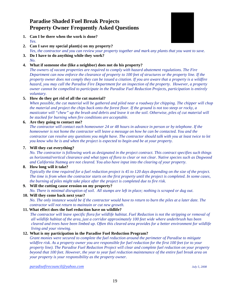# **Paradise Shaded Fuel Break Projects Property Owner Frequently Asked Questions**

**1. Can I be there when the work is done?**  *Yes.* 



**2. Can I save my special plant(s) on my property?** 

*Yes, the contractor and you can review your property together and mark any plants that you want to save.* 

**3. Do I have to do anything while they work?**  *No.* 

### **4. What if someone else (like a neighbor) does not do his property?**

*The owners of vacant properties are required to comply with hazard abatement regulations. The Fire Department can now enforce the clearance of property to 100 feet of structures or the property line. If the property owner does not comply they can be issued a citation. If you are aware that a property is a wildfire hazard, you may call the Paradise Fire Department for an inspection of the property. However, a property owner cannot be compelled to participate in the Paradise Fuel Reduction Projects, participation is entirely voluntary.* 

### **5. How do they get rid of all the cut material?**

*When possible, the cut material will be gathered and piled near a roadway for chipping. The chipper will chop the material and project the chips back onto the forest floor. If the ground is not too steep or rocky, a masticator will "chew" up the brush and debris and leave it on the soil. Otherwise, piles of cut material will be stacked for burning when fire conditions are acceptable.* 

#### **6. Are they going to contact me?**

*The contractor will contact each homeowner 24 or 48 hours in advance in person or by telephone. If the homeowner is not home the contractor will leave a message on how he can be contacted. You and the contractor can resolve any questions you might have. The contractor should talk with you at least twice to let you know who he is and when the project is expected to begin and be at your property.* 

#### **7. Will they cut everything?**

*No. The contractor is following work as designated in the project contract. This contract specifies such things as horizontal/vertical clearance and what types of flora to clear or not clear. Native species such as Dogwood and California Nutmeg are not cleared. You also have input into the clearing of your property.* 

### **8. How long will it take?**

*Typically the time required for a fuel reduction project is 45 to 120 days depending on the size of the project. The time is from when the contractor starts on the first property until the project is completed. In some cases, the burning of piles might take place after the project is completed due to fire risk.* 

#### **9. Will the cutting cause erosion on my property?**

*No. There is minimal disruption of soil. All stumps are left in place; nothing is scraped or dug out.* 

#### **10. Will they come back next year?**

*No. The only instance would be if the contractor would have to return to burn the piles at a later date. The contractor will not return to maintain or cut new growth.* 

### **11. What effect does the fuel reduction have on wildlife?**

 *The contractor will leave specific flora for wildlife habitat. Fuel Reduction is not the stripping or removal of all wildlife habitat of the area, just a corridor approximately 100 feet wide where underbrush has been cleared and trees have been limbed up. Often this cleared area provides for a better environment for wildlife living and your viewing.* 

### **12. What is my participation in the Paradise Fuel Reduction Program?**

*Grant monies were secured to complete the fuel reduction around the perimeter of Paradise to mitigate wildfire risk. As a property owner you are responsible for fuel reduction for the first 100 feet (or to your property line). The Paradise Fuel Reduction Project will clear and complete fuel reduction on your property beyond that 100 feet. However, the year to year fuel reduction maintenance of the entire fuel break area on your property is your responsibility as the property owner.* 

*paradisefirecouncil@yahoo.com July 5, 2008*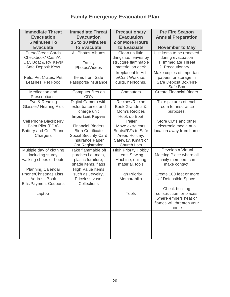# **Family Emergency Evacuation Plan**

| <b>Immediate Threat</b><br><b>Evacuation</b><br><b>5 Minutes To</b>                                       | <b>Immediate Threat</b><br><b>Evacuation</b><br>15 to 30 Minutes                                                                                             | <b>Precautionary</b><br><b>Evacuation</b><br><b>2 or More Hours</b>                                                                  | <b>Pre Fire Season</b><br><b>Annual Preparation</b>                                                    |
|-----------------------------------------------------------------------------------------------------------|--------------------------------------------------------------------------------------------------------------------------------------------------------------|--------------------------------------------------------------------------------------------------------------------------------------|--------------------------------------------------------------------------------------------------------|
| <b>Evacuate</b>                                                                                           | to Evacuate                                                                                                                                                  | to Evacuate                                                                                                                          | <b>November to May</b>                                                                                 |
| <b>Purse/Credit Cards</b><br>Checkbook/ Cash/All<br>Car, Boat & RV Keys/<br>Safe Deposit Keys             | All Photos Albums<br>Family<br>Photos/Videos                                                                                                                 | Clean up little<br>things i.e. leaves by<br>structure flammable<br>material on deck                                                  | List items to be removed<br>during evacuation<br>1. Immediate Threat<br>2. Precautionary               |
| Pets, Pet Crates. Pet<br>Leashes, Pet Food                                                                | Items from Safe<br>Passports/Insurance                                                                                                                       | Irreplaceable Art<br>&Craft Work i.e.<br>quilts, heirlooms,                                                                          | Make copies of important<br>papers for storage in<br>Safe Deposit Box/Fire<br>Safe Box                 |
| Medication and<br>Prescriptions                                                                           | Computer files on<br>CD's                                                                                                                                    | Computers                                                                                                                            | <b>Create Financial Binder</b>                                                                         |
| Eye & Reading<br><b>Glasses/ Hearing Aids</b>                                                             | Digital Camera with<br>extra batteries and<br>charge unit                                                                                                    | Recipes/Recipe<br>Book Grandma &<br>Mom's Recipes                                                                                    | Take pictures of each<br>room for insurance<br>purposes.                                               |
| <b>Cell Phone Blackberry</b><br>Palm Pilot (PDA)<br><b>Battery and Cell Phone</b><br>Chargers             | <b>Important Papers</b><br><b>Financial Binders</b><br><b>Birth Certificate</b><br><b>Social Security Card</b><br><b>Insurance Paper</b><br>Car Registration | Hook up Boat<br><b>Trailer</b><br>Move extra cars<br>Boats/RV's to Safe<br>Areas Holiday,<br>Safeway, Kmart or<br><b>Church Lots</b> | Store CD"s and other<br>electronic media at a<br>location away from home                               |
| Multiple day of clothing<br>including sturdy<br>walking shoes or boots                                    | Take flammable off<br>porches i.e. mats,<br>plastic furniture,<br>shade items, flags                                                                         | <b>High Priority Hobby</b><br>Items Sewing<br>Machine, quilting<br>material, tools                                                   | Develop a Virtual<br>Meeting Place where all<br>family members can<br>make contact.                    |
| <b>Planning Calendar</b><br>Phone/Christmas Lists,<br><b>Address Book</b><br><b>Bills/Payment Coupons</b> | High Value Items<br>such as Jewelry,<br>Priceless vase,<br>Collections                                                                                       | <b>High Priority</b><br>Memorabilia                                                                                                  | Create 100 feet or more<br>of Defensible Space                                                         |
| Laptop                                                                                                    |                                                                                                                                                              | <b>Tools</b>                                                                                                                         | Check building<br>construction for places<br>where embers heat or<br>flames will threaten your<br>home |
|                                                                                                           |                                                                                                                                                              |                                                                                                                                      |                                                                                                        |